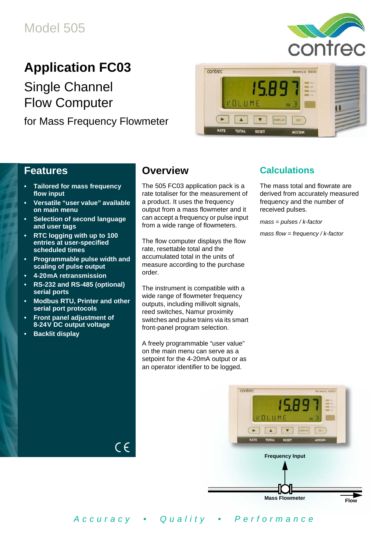

# **Application FC03**

Single Channel Flow Computer

for Mass Frequency Flowmeter



### **Features**

- **Tailored for mass frequency flow input**
- **Versatile "user value" available on main menu**
- **Selection of second language and user tags**
- **RTC logging with up to 100 entries at user-specified scheduled times**
- **Programmable pulse width and scaling of pulse output**
- **4-20 mA retransmission**
- **RS-232 and RS-485 (optional) serial ports**
- **Modbus RTU, Printer and other serial port protocols**

 $C \in$ 

- **Front panel adjustment of 8-24 V DC output voltage**
- **Backlit display**

### **Overview**

The 505 FC03 application pack is a rate totaliser for the measurement of a product. It uses the frequency output from a mass flowmeter and it can accept a frequency or pulse input from a wide range of flowmeters.

The flow computer displays the flow rate, resettable total and the accumulated total in the units of measure according to the purchase order.

The instrument is compatible with a wide range of flowmeter frequency outputs, including millivolt signals, reed switches, Namur proximity switches and pulse trains via its smart front-panel program selection.

A freely programmable "user value" on the main menu can serve as a setpoint for the 4-20mA output or as an operator identifier to be logged.

### **Calculations**

The mass total and flowrate are derived from accurately measured frequency and the number of received pulses.

*mass = pulses / k-factor*

*mass flow = frequency / k-factor*



*Accuracy • Quality • Performance*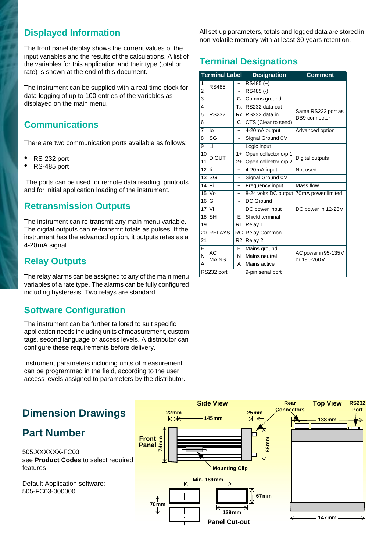### **Displayed Information**

The front panel display shows the current values of the input variables and the results of the calculations. A list of the variables for this application and their type (total or rate) is shown at the end of this document.

The instrument can be supplied with a real-time clock for data logging of up to 100 entries of the variables as displayed on the main menu.

### **Communications**

There are two communication ports available as follows:

- **•** RS-232 port
- **•** RS-485 port

 The ports can be used for remote data reading, printouts and for initial application loading of the instrument.

### **Retransmission Outputs**

The instrument can re-transmit any main menu variable. The digital outputs can re-transmit totals as pulses. If the instrument has the advanced option, it outputs rates as a 4-20<sub>m</sub>A signal.

### **Relay Outputs**

The relay alarms can be assigned to any of the main menu variables of a rate type. The alarms can be fully configured including hysteresis. Two relays are standard.

### **Software Configuration**

The instrument can be further tailored to suit specific application needs including units of measurement, custom tags, second language or access levels. A distributor can configure these requirements before delivery.

Instrument parameters including units of measurement can be programmed in the field, according to the user access levels assigned to parameters by the distributor. All set-up parameters, totals and logged data are stored in non-volatile memory with at least 30 years retention.

### **Terminal Designations**

|                 | <b>Terminal Label</b>  |                | <b>Designation</b>                      | <b>Comment</b>                      |  |
|-----------------|------------------------|----------------|-----------------------------------------|-------------------------------------|--|
| 1               | <b>RS485</b>           | $\ddagger$     | $RS485 (+)$                             |                                     |  |
| 2               |                        |                | RS485(-)                                |                                     |  |
| $\overline{3}$  |                        | G              | Comms ground                            |                                     |  |
| $\overline{4}$  |                        | Tx             | RS232 data out                          |                                     |  |
| 5               | <b>RS232</b>           |                | Rx RS232 data in                        | Same RS232 port as<br>DB9 connector |  |
| 6               |                        | C              | CTS (Clear to send)                     |                                     |  |
| $\overline{7}$  | lo                     | $+$            | 4-20mA output                           | Advanced option                     |  |
| 8               | $\overline{\text{SG}}$ |                | Signal Ground 0V                        |                                     |  |
| 9               | Li                     | $+$            | Logic input                             |                                     |  |
| 10              | D OUT                  | $1+$           | Open collector o/p 1                    |                                     |  |
| 11              |                        | $2+$           | Open collector o/p 2                    | Digital outputs                     |  |
| 12              | li<br>$+$              |                | 4-20mA input                            | Not used                            |  |
|                 | $13$ SG                |                | Signal Ground 0V                        |                                     |  |
| $14$ Fi         |                        | $+$            | <b>Frequency input</b>                  | Mass flow                           |  |
| $\overline{15}$ | <b>Vo</b>              | $+$            | 8-24 volts DC output 70mA power limited |                                     |  |
| 16              | G                      |                | DC Ground                               |                                     |  |
| $17$ Vi         |                        | $\ddot{}$      | DC power input                          | DC power in 12-28V                  |  |
|                 | $18$ $SH$              | F              | Shield terminal                         |                                     |  |
| 19              |                        | R <sub>1</sub> | Relay 1                                 |                                     |  |
| 20              | <b>RELAYS</b>          | <b>RC</b>      | Relay Common                            |                                     |  |
| 21              |                        | R <sub>2</sub> | Relay 2                                 |                                     |  |
| Ē               | <b>AC</b>              | E              | Mains ground                            |                                     |  |
| N               | <b>MAINS</b>           | Ν              | Mains neutral                           | AC power in 95-135V<br>or 190-260V  |  |
| А               |                        | А              | Mains active                            |                                     |  |
|                 | RS232 port             |                | 9-pin serial port                       |                                     |  |

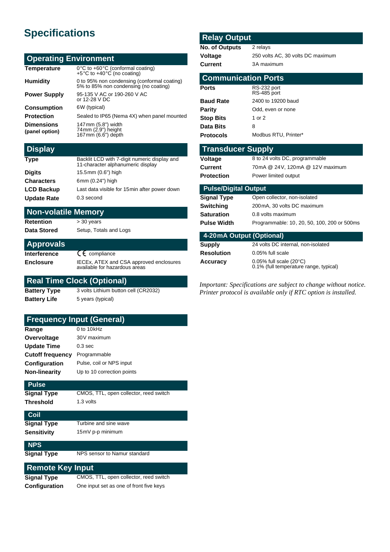# **Specifications**

#### **Operating Environment**

| Temperature<br>$0^{\circ}$ C to +60 $^{\circ}$ C (conformal coating)<br>+5°C to +40°C (no coating)        |  |
|-----------------------------------------------------------------------------------------------------------|--|
| 0 to 95% non condensing (conformal coating)<br>5% to 85% non condensing (no coating)<br><b>Humidity</b>   |  |
| 95-135 V AC or 190-260 V AC<br><b>Power Supply</b><br>or 12-28 V DC                                       |  |
| <b>Consumption</b><br>6W (typical)                                                                        |  |
| Sealed to IP65 (Nema 4X) when panel mounted<br><b>Protection</b>                                          |  |
| 147mm (5.8") width<br><b>Dimensions</b><br>$74$ mm $(2.9)$ height<br>(panel option)<br>167mm (6.6") depth |  |

#### **Display**

| <b>Type</b>        | Backlit LCD with 7-digit numeric display and<br>11-character alphanumeric display |
|--------------------|-----------------------------------------------------------------------------------|
| <b>Digits</b>      | 15.5mm (0.6") high                                                                |
| <b>Characters</b>  | 6mm (0.24") high                                                                  |
| <b>LCD Backup</b>  | Last data visible for 15 min after power down                                     |
| <b>Update Rate</b> | 0.3 second                                                                        |

#### **Non-volatile Memory**

**Retention** > 30 years Data Stored Setup, Totals and Logs

| <b>Approvals</b> |  |
|------------------|--|
| Interference     |  |

**E** compliance **Enclosure** IECEx, ATEX and CSA approved enclosures available for hazardous areas

#### **Real Time Clock (Optional)**

**Battery Type** 3 volts Lithium button cell (CR2032) **Battery Life** 5 years (typical)

**Frequency Input (General)**

| Range              | 0 to 10kHz                             |
|--------------------|----------------------------------------|
| Overvoltage        | 30V maximum                            |
| <b>Update Time</b> | 0.3 <sub>sec</sub>                     |
| Cutoff frequency   | Programmable                           |
| Configuration      | Pulse, coil or NPS input               |
| Non-linearity      | Up to 10 correction points             |
| <b>Pulse</b>       |                                        |
| Signal Type        | CMOS, TTL, open collector, reed switch |
| Threshold          | 1.3 volts                              |
|                    |                                        |

| <b>Coll</b> |                       |
|-------------|-----------------------|
| Signal Type | Turbine and sine wave |
| Sensitivity | 15mV p-p minimum      |

**NPS**

**Signal Type** NPS sensor to Namur standard

#### **Remote Key Input**

**Signal Type** CMOS, TTL, open collector, reed switch **Configuration** One input set as one of front five keys

#### **Relay Output**

| <b>No. of Outputs</b> | 2 relays                          |
|-----------------------|-----------------------------------|
| Voltage               | 250 volts AC, 30 volts DC maximum |
| Current               | 3A maximum                        |

| <b>Communication Ports</b> |                            |  |  |  |
|----------------------------|----------------------------|--|--|--|
| <b>Ports</b>               | RS-232 port<br>RS-485 port |  |  |  |
| <b>Baud Rate</b>           | 2400 to 19200 baud         |  |  |  |
| Parity                     | Odd, even or none          |  |  |  |
| <b>Stop Bits</b>           | 1 or 2                     |  |  |  |
| Data Bits                  | 8                          |  |  |  |
| <b>Protocols</b>           | Modbus RTU, Printer*       |  |  |  |

#### **Transducer Supply**

| Voltage           | 8 to 24 volts DC, pro |
|-------------------|-----------------------|
| Current           | 70mA @ 24V, 120m      |
| <b>Protection</b> | Power limited output  |

8 to 24 volts DC, programmable 70 mA @ 24 V, 120 mA @ 12 V maximum

#### **Pulse/Digital Output**

| Signal Type | Open collector, non-isolated                |
|-------------|---------------------------------------------|
| Switching   | 200 mA, 30 volts DC maximum                 |
| Saturation  | 0.8 volts maximum                           |
| Pulse Width | Programmable: 10, 20, 50, 100, 200 or 500ms |
|             |                                             |

| 4-20 mA Output (Optional) |                                                                   |  |  |  |
|---------------------------|-------------------------------------------------------------------|--|--|--|
| Supply                    | 24 volts DC internal, non-isolated                                |  |  |  |
| Resolution                | 0.05% full scale                                                  |  |  |  |
| Accuracy                  | 0.05% full scale (20°C)<br>0.1% (full temperature range, typical) |  |  |  |

*Important: Specifications are subject to change without notice. Printer protocol is available only if RTC option is installed.*